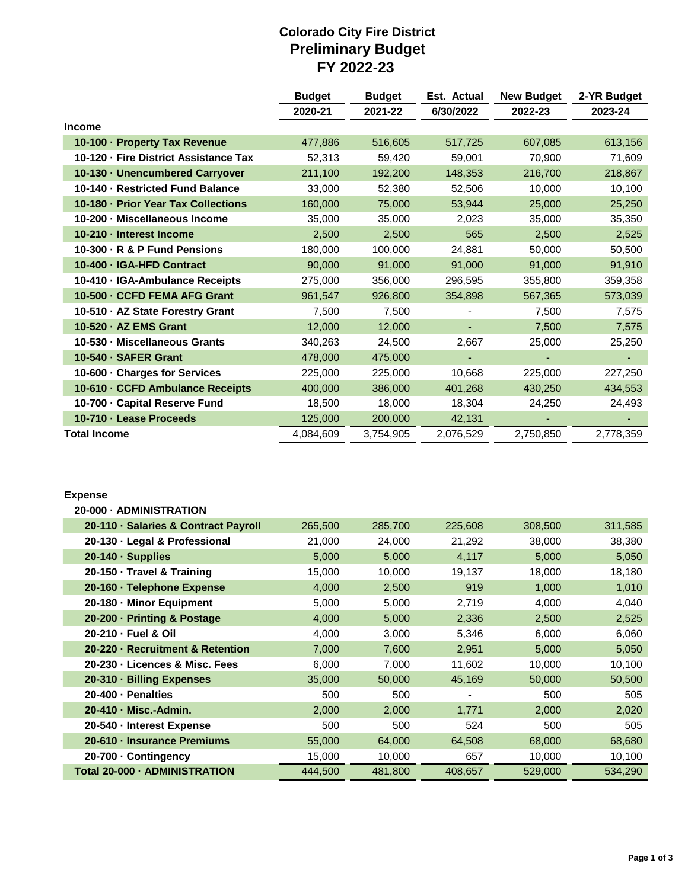## **Colorado City Fire District Preliminary Budget FY 2022-23**

|                                       | <b>Budget</b> | <b>Budget</b> | Est. Actual | <b>New Budget</b> | 2-YR Budget |
|---------------------------------------|---------------|---------------|-------------|-------------------|-------------|
|                                       | 2020-21       | 2021-22       | 6/30/2022   | 2022-23           | 2023-24     |
| <b>Income</b>                         |               |               |             |                   |             |
| 10-100 · Property Tax Revenue         | 477,886       | 516,605       | 517,725     | 607,085           | 613,156     |
| 10-120 · Fire District Assistance Tax | 52,313        | 59,420        | 59,001      | 70,900            | 71,609      |
| 10-130 - Unencumbered Carryover       | 211,100       | 192,200       | 148,353     | 216,700           | 218,867     |
| 10-140 - Restricted Fund Balance      | 33,000        | 52,380        | 52,506      | 10,000            | 10,100      |
| 10-180 - Prior Year Tax Collections   | 160,000       | 75,000        | 53,944      | 25,000            | 25,250      |
| 10-200 · Miscellaneous Income         | 35,000        | 35,000        | 2,023       | 35,000            | 35,350      |
| 10-210 - Interest Income              | 2,500         | 2,500         | 565         | 2,500             | 2,525       |
| 10-300 · R & P Fund Pensions          | 180,000       | 100,000       | 24,881      | 50,000            | 50,500      |
| 10-400 - IGA-HFD Contract             | 90,000        | 91,000        | 91,000      | 91,000            | 91,910      |
| 10-410 · IGA-Ambulance Receipts       | 275,000       | 356,000       | 296,595     | 355,800           | 359,358     |
| 10-500 - CCFD FEMA AFG Grant          | 961,547       | 926,800       | 354,898     | 567,365           | 573,039     |
| 10-510 · AZ State Forestry Grant      | 7,500         | 7,500         |             | 7,500             | 7,575       |
| 10-520 · AZ EMS Grant                 | 12,000        | 12,000        |             | 7,500             | 7,575       |
| 10-530 · Miscellaneous Grants         | 340,263       | 24,500        | 2,667       | 25,000            | 25,250      |
| 10-540 - SAFER Grant                  | 478,000       | 475,000       |             |                   |             |
| 10-600 · Charges for Services         | 225,000       | 225,000       | 10,668      | 225,000           | 227,250     |
| 10-610 · CCFD Ambulance Receipts      | 400,000       | 386,000       | 401,268     | 430,250           | 434,553     |
| 10-700 · Capital Reserve Fund         | 18,500        | 18,000        | 18,304      | 24,250            | 24,493      |
| 10-710 · Lease Proceeds               | 125,000       | 200,000       | 42,131      |                   |             |
| <b>Total Income</b>                   | 4,084,609     | 3,754,905     | 2,076,529   | 2,750,850         | 2,778,359   |

## **Expense**

| 20-000 - ADMINISTRATION              |         |         |         |         |         |
|--------------------------------------|---------|---------|---------|---------|---------|
| 20-110 · Salaries & Contract Payroll | 265,500 | 285,700 | 225,608 | 308,500 | 311,585 |
| 20-130 · Legal & Professional        | 21,000  | 24,000  | 21,292  | 38,000  | 38,380  |
| 20-140 · Supplies                    | 5,000   | 5,000   | 4,117   | 5,000   | 5,050   |
| 20-150 · Travel & Training           | 15,000  | 10,000  | 19,137  | 18,000  | 18,180  |
| 20-160 · Telephone Expense           | 4,000   | 2,500   | 919     | 1,000   | 1,010   |
| 20-180 - Minor Equipment             | 5,000   | 5,000   | 2,719   | 4,000   | 4,040   |
| 20-200 · Printing & Postage          | 4,000   | 5,000   | 2,336   | 2,500   | 2,525   |
| 20-210 - Fuel & Oil                  | 4,000   | 3,000   | 5,346   | 6,000   | 6,060   |
| 20-220 · Recruitment & Retention     | 7,000   | 7,600   | 2,951   | 5,000   | 5,050   |
| 20-230 · Licences & Misc. Fees       | 6,000   | 7,000   | 11,602  | 10,000  | 10,100  |
| 20-310 - Billing Expenses            | 35,000  | 50,000  | 45,169  | 50,000  | 50,500  |
| 20-400 · Penalties                   | 500     | 500     |         | 500     | 505     |
| 20-410 - Misc.-Admin.                | 2,000   | 2,000   | 1,771   | 2,000   | 2,020   |
| 20-540 - Interest Expense            | 500     | 500     | 524     | 500     | 505     |
| 20-610 · Insurance Premiums          | 55,000  | 64,000  | 64,508  | 68,000  | 68,680  |
| 20-700 · Contingency                 | 15,000  | 10,000  | 657     | 10,000  | 10,100  |
| Total 20-000 - ADMINISTRATION        | 444,500 | 481,800 | 408,657 | 529,000 | 534,290 |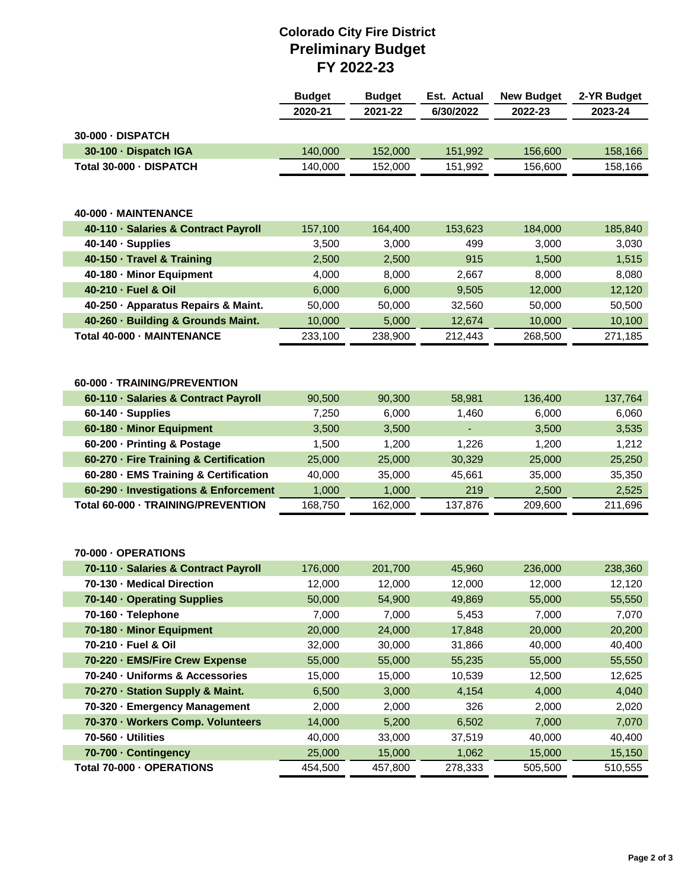## **Colorado City Fire District Preliminary Budget FY 2022-23**

|                                                                     | <b>Budget</b>   | <b>Budget</b>    | Est. Actual     | <b>New Budget</b> | 2-YR Budget     |
|---------------------------------------------------------------------|-----------------|------------------|-----------------|-------------------|-----------------|
|                                                                     | 2020-21         | 2021-22          | 6/30/2022       | 2022-23           | 2023-24         |
| 30-000 - DISPATCH                                                   |                 |                  |                 |                   |                 |
| 30-100 · Dispatch IGA                                               | 140,000         | 152,000          | 151,992         | 156,600           | 158,166         |
| Total 30-000 · DISPATCH                                             | 140,000         | 152,000          | 151,992         | 156,600           | 158,166         |
|                                                                     |                 |                  |                 |                   |                 |
|                                                                     |                 |                  |                 |                   |                 |
| 40-000 - MAINTENANCE                                                |                 |                  |                 |                   |                 |
| 40-110 · Salaries & Contract Payroll                                | 157,100         | 164,400          | 153,623         | 184,000           | 185,840         |
| 40-140 · Supplies                                                   | 3,500           | 3,000            | 499             | 3,000             | 3,030           |
| 40-150 · Travel & Training                                          | 2,500           | 2,500            | 915             | 1,500             | 1,515           |
| 40-180 - Minor Equipment                                            | 4,000           | 8,000            | 2,667           | 8,000             | 8,080           |
| 40-210 - Fuel & Oil                                                 | 6,000           | 6,000            | 9,505           | 12,000            | 12,120          |
| 40-250 · Apparatus Repairs & Maint.                                 | 50,000          | 50,000           | 32,560          | 50,000            | 50,500          |
| 40-260 · Building & Grounds Maint.                                  | 10,000          | 5,000            | 12,674          | 10,000            | 10,100          |
| Total 40-000 - MAINTENANCE                                          | 233,100         | 238,900          | 212,443         | 268,500           | 271,185         |
|                                                                     |                 |                  |                 |                   |                 |
|                                                                     |                 |                  |                 |                   |                 |
| 60-000 - TRAINING/PREVENTION                                        |                 |                  |                 |                   |                 |
| 60-110 · Salaries & Contract Payroll                                | 90,500          | 90,300           | 58,981          | 136,400           | 137,764         |
| 60-140 · Supplies                                                   | 7,250           | 6,000            | 1,460           | 6,000             | 6,060           |
| 60-180 - Minor Equipment                                            | 3,500           | 3,500            |                 | 3,500             | 3,535           |
| 60-200 · Printing & Postage                                         | 1,500           | 1,200            | 1,226           | 1,200             | 1,212           |
| 60-270 · Fire Training & Certification                              | 25,000          | 25,000           | 30,329          | 25,000            | 25,250          |
| 60-280 · EMS Training & Certification                               | 40,000          | 35,000           | 45,661          | 35,000            | 35,350          |
| 60-290 · Investigations & Enforcement                               | 1,000           | 1,000            | 219             | 2,500             | 2,525           |
| Total 60-000 - TRAINING/PREVENTION                                  | 168,750         | 162,000          | 137,876         | 209,600           | 211,696         |
|                                                                     |                 |                  |                 |                   |                 |
|                                                                     |                 |                  |                 |                   |                 |
| 70-000 - OPERATIONS                                                 |                 |                  |                 |                   |                 |
| 70-110 · Salaries & Contract Payroll                                | 176,000         | 201,700          | 45,960          | 236,000           | 238,360         |
| 70-130 - Medical Direction                                          | 12,000          | 12,000           | 12,000          | 12,000            | 12,120          |
| 70-140 · Operating Supplies                                         | 50,000          | 54,900           | 49,869          | 55,000            | 55,550          |
| 70-160 · Telephone                                                  | 7,000           | 7,000            | 5,453           | 7,000             | 7,070           |
| 70-180 - Minor Equipment                                            | 20,000          | 24,000           | 17,848          | 20,000            | 20,200          |
| 70-210 - Fuel & Oil                                                 | 32,000          | 30,000<br>55,000 | 31,866          | 40,000            | 40,400          |
| 70-220 - EMS/Fire Crew Expense                                      | 55,000          | 15,000           | 55,235          | 55,000            | 55,550          |
| 70-240 · Uniforms & Accessories<br>70-270 - Station Supply & Maint. | 15,000<br>6,500 | 3,000            | 10,539<br>4,154 | 12,500<br>4,000   | 12,625<br>4,040 |
| 70-320 · Emergency Management                                       | 2,000           | 2,000            | 326             | 2,000             | 2,020           |
| 70-370 - Workers Comp. Volunteers                                   | 14,000          | 5,200            | 6,502           | 7,000             | 7,070           |
| 70-560 - Utilities                                                  | 40,000          | 33,000           | 37,519          | 40,000            | 40,400          |
| 70-700 · Contingency                                                | 25,000          | 15,000           | 1,062           | 15,000            | 15,150          |
| Total 70-000 - OPERATIONS                                           | 454,500         | 457,800          | 278,333         | 505,500           | 510,555         |